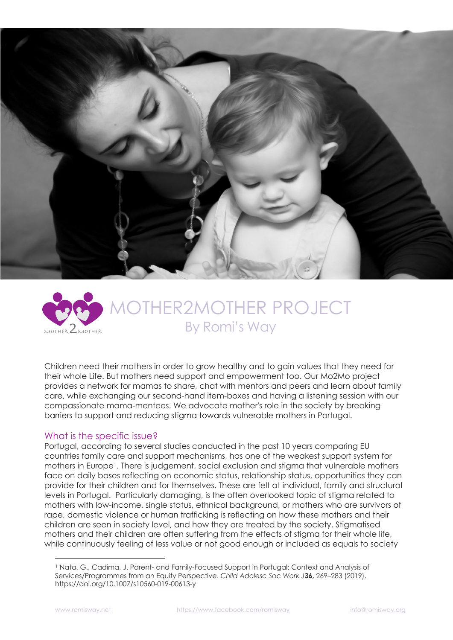



# ER2MOTHER PROJECT By Romi's Way

Children need their mothers in order to grow healthy and to gain values that they need for their whole Life. But mothers need support and empowerment too. Our Mo2Mo project provides a network for mamas to share, chat with mentors and peers and learn about family care, while exchanging our second-hand item-boxes and having a listening session with our compassionate mama-mentees. We advocate mother's role in the society by breaking barriers to support and reducing stigma towards vulnerable mothers in Portugal.

#### What is the specific issue?

Portugal, according to several studies conducted in the past 10 years comparing EU countries family care and support mechanisms, has one of the weakest support system for mothers in Europe1. There is judgement, social exclusion and stigma that vulnerable mothers face on daily bases reflecting on economic status, relationship status, opportunities they can provide for their children and for themselves. These are felt at individual, family and structural levels in Portugal. Particularly damaging, is the often overlooked topic of stigma related to mothers with low-income, single status, ethnical background, or mothers who are survivors of rape, domestic violence or human trafficking is reflecting on how these mothers and their children are seen in society level, and how they are treated by the society. Stigmatised mothers and their children are often suffering from the effects of stigma for their whole life, while continuously feeling of less value or not good enough or included as equals to society

<sup>1</sup> Nata, G., Cadima, J. Parent- and Family-Focused Support in Portugal: Context and Analysis of Services/Programmes from an Equity Perspective. *Child Adolesc Soc Work J***36,** 269–283 (2019). https://doi.org/10.1007/s10560-019-00613-y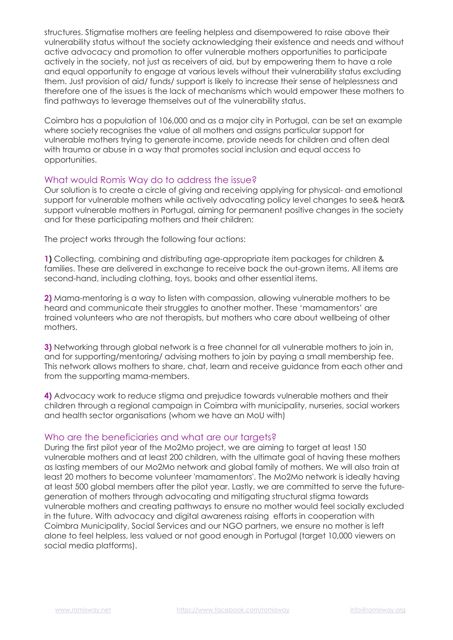structures. Stigmatise mothers are feeling helpless and disempowered to raise above their vulnerability status without the society acknowledging their existence and needs and without active advocacy and promotion to offer vulnerable mothers opportunities to participate actively in the society, not just as receivers of aid, but by empowering them to have a role and equal opportunity to engage at various levels without their vulnerability status excluding them. Just provision of aid/ funds/ support is likely to increase their sense of helplessness and therefore one of the issues is the lack of mechanisms which would empower these mothers to find pathways to leverage themselves out of the vulnerability status.

Coimbra has a population of 106,000 and as a major city in Portugal, can be set an example where society recognises the value of all mothers and assigns particular support for vulnerable mothers trying to generate income, provide needs for children and often deal with trauma or abuse in a way that promotes social inclusion and equal access to opportunities.

#### What would Romis Way do to address the issue?

Our solution is to create a circle of giving and receiving applying for physical- and emotional support for vulnerable mothers while actively advocating policy level changes to see& hear& support vulnerable mothers in Portugal, aiming for permanent positive changes in the society and for these participating mothers and their children:

The project works through the following four actions:

**1)** Collecting, combining and distributing age-appropriate item packages for children & families. These are delivered in exchange to receive back the out-grown items. All items are second-hand, including clothing, toys, books and other essential items.

**2)** Mama-mentoring is a way to listen with compassion, allowing vulnerable mothers to be heard and communicate their struggles to another mother. These 'mamamentors' are trained volunteers who are not therapists, but mothers who care about wellbeing of other mothers.

**3)** Networking through global network is a free channel for all vulnerable mothers to join in, and for supporting/mentoring/ advising mothers to join by paying a small membership fee. This network allows mothers to share, chat, learn and receive guidance from each other and from the supporting mama-members.

**4)** Advocacy work to reduce stigma and prejudice towards vulnerable mothers and their children through a regional campaign in Coimbra with municipality, nurseries, social workers and health sector organisations (whom we have an MoU with)

#### Who are the beneficiaries and what are our targets?

During the first pilot year of the Mo2Mo project, we are aiming to target at least 150 vulnerable mothers and at least 200 children, with the ultimate goal of having these mothers as lasting members of our Mo2Mo network and global family of mothers. We will also train at least 20 mothers to become volunteer 'mamamentors'. The Mo2Mo network is ideally having at least 500 global members after the pilot year. Lastly, we are committed to serve the futuregeneration of mothers through advocating and mitigating structural stigma towards vulnerable mothers and creating pathways to ensure no mother would feel socially excluded in the future. With advocacy and digital awareness raising efforts in cooperation with Coimbra Municipality, Social Services and our NGO partners, we ensure no mother is left alone to feel helpless, less valued or not good enough in Portugal (target 10,000 viewers on social media platforms).